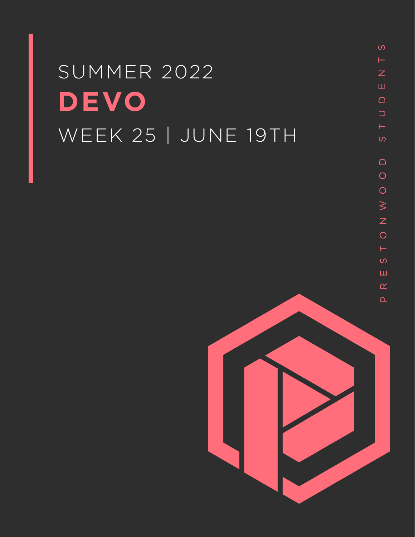# SUMMER 2022 **DEVO** WEEK 25 | JUNE 19TH

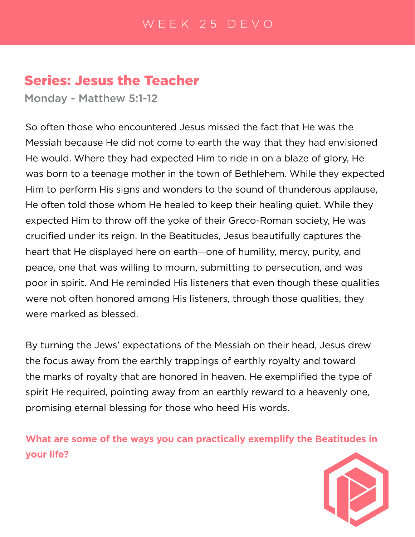# Series: Jesus the Teacher

Monday - Matthew 5:1-12

So often those who encountered Jesus missed the fact that He was the Messiah because He did not come to earth the way that they had envisioned He would. Where they had expected Him to ride in on a blaze of glory, He was born to a teenage mother in the town of Bethlehem. While they expected Him to perform His signs and wonders to the sound of thunderous applause, He often told those whom He healed to keep their healing quiet. While they expected Him to throw off the yoke of their Greco-Roman society, He was crucified under its reign. In the Beatitudes, Jesus beautifully captures the heart that He displayed here on earth—one of humility, mercy, purity, and peace, one that was willing to mourn, submitting to persecution, and was poor in spirit. And He reminded His listeners that even though these qualities were not often honored among His listeners, through those qualities, they were marked as blessed.

By turning the Jews' expectations of the Messiah on their head, Jesus drew the focus away from the earthly trappings of earthly royalty and toward the marks of royalty that are honored in heaven. He exemplified the type of spirit He required, pointing away from an earthly reward to a heavenly one, promising eternal blessing for those who heed His words.

**What are some of the ways you can practically exemplify the Beatitudes in your life?**

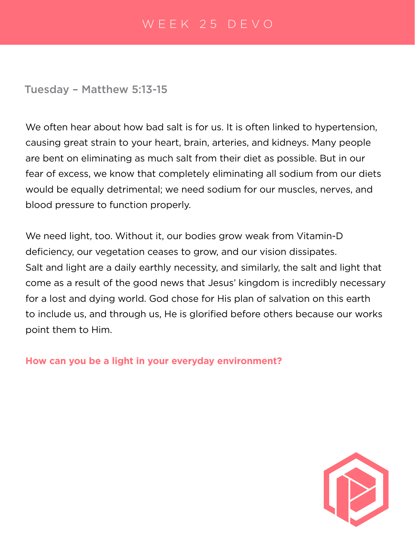### Tuesday – Matthew 5:13-15

We often hear about how bad salt is for us. It is often linked to hypertension, causing great strain to your heart, brain, arteries, and kidneys. Many people are bent on eliminating as much salt from their diet as possible. But in our fear of excess, we know that completely eliminating all sodium from our diets would be equally detrimental; we need sodium for our muscles, nerves, and blood pressure to function properly.

We need light, too. Without it, our bodies grow weak from Vitamin-D deficiency, our vegetation ceases to grow, and our vision dissipates. Salt and light are a daily earthly necessity, and similarly, the salt and light that come as a result of the good news that Jesus' kingdom is incredibly necessary for a lost and dying world. God chose for His plan of salvation on this earth to include us, and through us, He is glorified before others because our works point them to Him.

**How can you be a light in your everyday environment?**

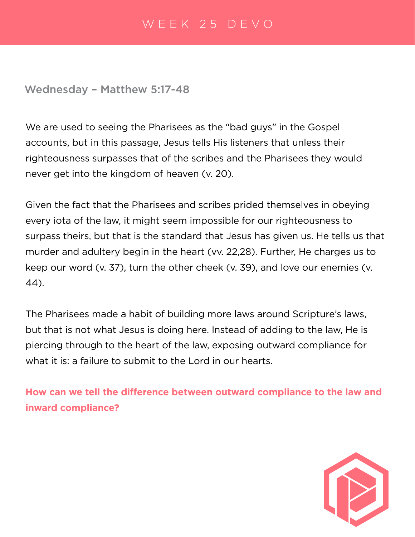Wednesday – Matthew 5:17-48

We are used to seeing the Pharisees as the "bad guys" in the Gospel accounts, but in this passage, Jesus tells His listeners that unless their righteousness surpasses that of the scribes and the Pharisees they would never get into the kingdom of heaven (v. 20).

Given the fact that the Pharisees and scribes prided themselves in obeying every iota of the law, it might seem impossible for our righteousness to surpass theirs, but that is the standard that Jesus has given us. He tells us that murder and adultery begin in the heart (vv. 22,28). Further, He charges us to keep our word (v. 37), turn the other cheek (v. 39), and love our enemies (v. 44).

The Pharisees made a habit of building more laws around Scripture's laws, but that is not what Jesus is doing here. Instead of adding to the law, He is piercing through to the heart of the law, exposing outward compliance for what it is: a failure to submit to the Lord in our hearts.

**How can we tell the difference between outward compliance to the law and inward compliance?**

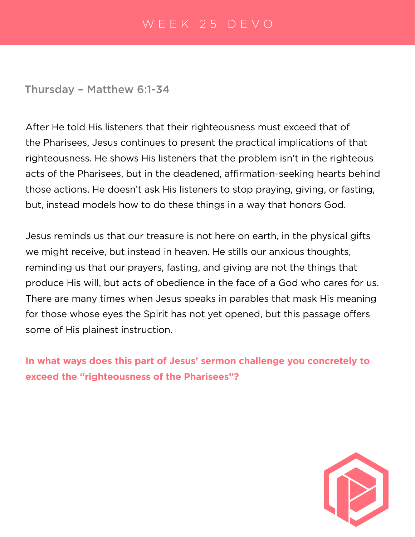Thursday – Matthew 6:1-34

After He told His listeners that their righteousness must exceed that of the Pharisees, Jesus continues to present the practical implications of that righteousness. He shows His listeners that the problem isn't in the righteous acts of the Pharisees, but in the deadened, affirmation-seeking hearts behind those actions. He doesn't ask His listeners to stop praying, giving, or fasting, but, instead models how to do these things in a way that honors God.

Jesus reminds us that our treasure is not here on earth, in the physical gifts we might receive, but instead in heaven. He stills our anxious thoughts, reminding us that our prayers, fasting, and giving are not the things that produce His will, but acts of obedience in the face of a God who cares for us. There are many times when Jesus speaks in parables that mask His meaning for those whose eyes the Spirit has not yet opened, but this passage offers some of His plainest instruction.

**In what ways does this part of Jesus' sermon challenge you concretely to exceed the "righteousness of the Pharisees"?**

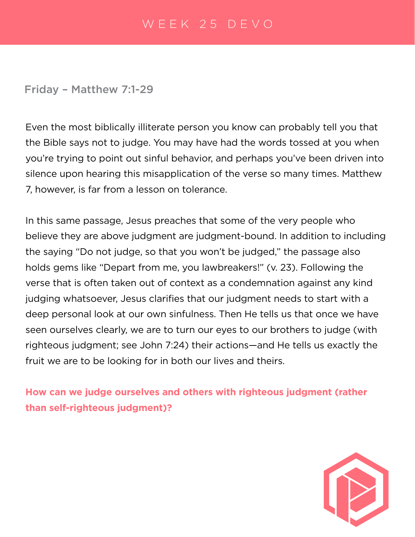#### Friday – Matthew 7:1-29

Even the most biblically illiterate person you know can probably tell you that the Bible says not to judge. You may have had the words tossed at you when you're trying to point out sinful behavior, and perhaps you've been driven into silence upon hearing this misapplication of the verse so many times. Matthew 7, however, is far from a lesson on tolerance.

In this same passage, Jesus preaches that some of the very people who believe they are above judgment are judgment-bound. In addition to including the saying "Do not judge, so that you won't be judged," the passage also holds gems like "Depart from me, you lawbreakers!" (v. 23). Following the verse that is often taken out of context as a condemnation against any kind judging whatsoever, Jesus clarifies that our judgment needs to start with a deep personal look at our own sinfulness. Then He tells us that once we have seen ourselves clearly, we are to turn our eyes to our brothers to judge (with righteous judgment; see John 7:24) their actions—and He tells us exactly the fruit we are to be looking for in both our lives and theirs.

**How can we judge ourselves and others with righteous judgment (rather than self-righteous judgment)?**

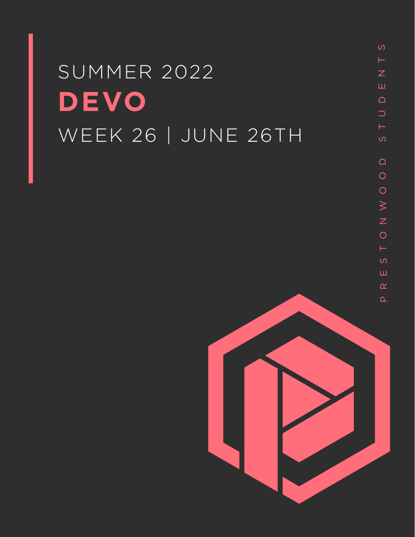# SUMMER 2022 **DEVO** WEEK 26 | JUNE 26TH

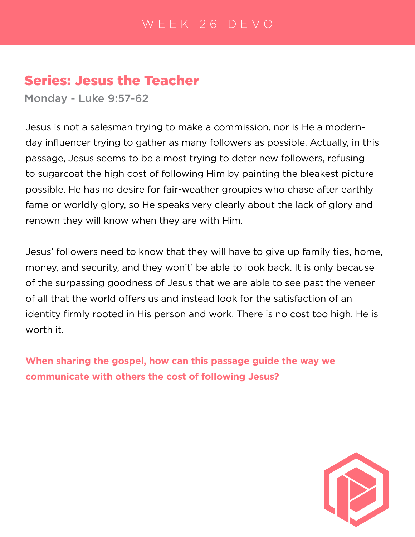# Series: Jesus the Teacher

Monday - Luke 9:57-62

Jesus is not a salesman trying to make a commission, nor is He a modernday influencer trying to gather as many followers as possible. Actually, in this passage, Jesus seems to be almost trying to deter new followers, refusing to sugarcoat the high cost of following Him by painting the bleakest picture possible. He has no desire for fair-weather groupies who chase after earthly fame or worldly glory, so He speaks very clearly about the lack of glory and renown they will know when they are with Him.

Jesus' followers need to know that they will have to give up family ties, home, money, and security, and they won't' be able to look back. It is only because of the surpassing goodness of Jesus that we are able to see past the veneer of all that the world offers us and instead look for the satisfaction of an identity firmly rooted in His person and work. There is no cost too high. He is worth it.

**When sharing the gospel, how can this passage guide the way we communicate with others the cost of following Jesus?**

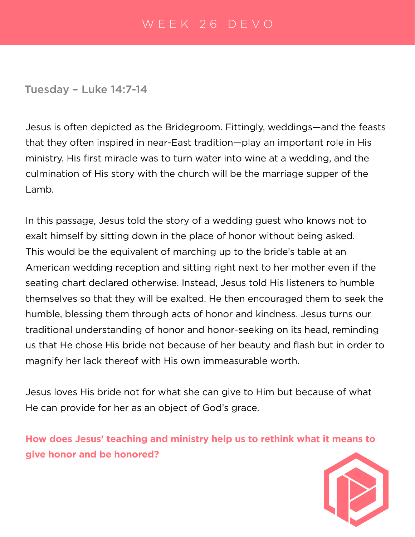Tuesday – Luke 14:7-14

Jesus is often depicted as the Bridegroom. Fittingly, weddings—and the feasts that they often inspired in near-East tradition—play an important role in His ministry. His first miracle was to turn water into wine at a wedding, and the culmination of His story with the church will be the marriage supper of the Lamb.

In this passage, Jesus told the story of a wedding guest who knows not to exalt himself by sitting down in the place of honor without being asked. This would be the equivalent of marching up to the bride's table at an American wedding reception and sitting right next to her mother even if the seating chart declared otherwise. Instead, Jesus told His listeners to humble themselves so that they will be exalted. He then encouraged them to seek the humble, blessing them through acts of honor and kindness. Jesus turns our traditional understanding of honor and honor-seeking on its head, reminding us that He chose His bride not because of her beauty and flash but in order to magnify her lack thereof with His own immeasurable worth.

Jesus loves His bride not for what she can give to Him but because of what He can provide for her as an object of God's grace.

**How does Jesus' teaching and ministry help us to rethink what it means to give honor and be honored?**

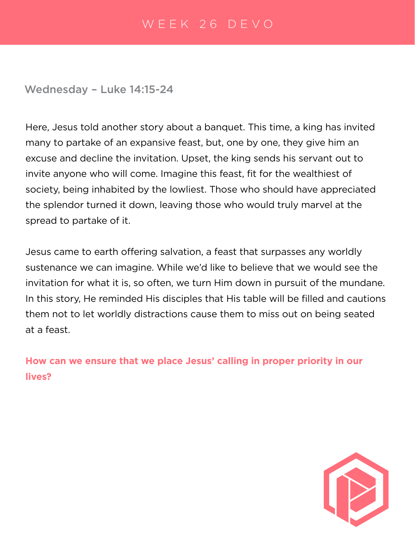#### Wednesday – Luke 14:15-24

Here, Jesus told another story about a banquet. This time, a king has invited many to partake of an expansive feast, but, one by one, they give him an excuse and decline the invitation. Upset, the king sends his servant out to invite anyone who will come. Imagine this feast, fit for the wealthiest of society, being inhabited by the lowliest. Those who should have appreciated the splendor turned it down, leaving those who would truly marvel at the spread to partake of it.

Jesus came to earth offering salvation, a feast that surpasses any worldly sustenance we can imagine. While we'd like to believe that we would see the invitation for what it is, so often, we turn Him down in pursuit of the mundane. In this story, He reminded His disciples that His table will be filled and cautions them not to let worldly distractions cause them to miss out on being seated at a feast.

**How can we ensure that we place Jesus' calling in proper priority in our lives?**

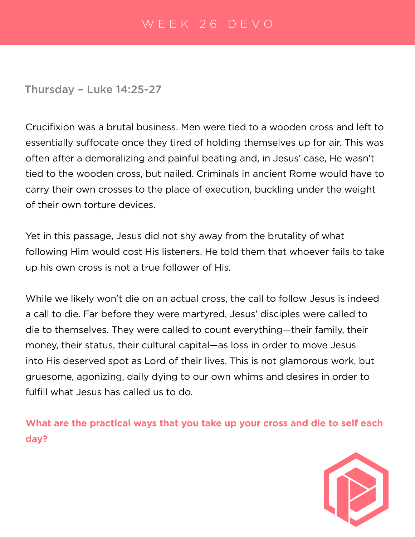Thursday – Luke 14:25-27

Crucifixion was a brutal business. Men were tied to a wooden cross and left to essentially suffocate once they tired of holding themselves up for air. This was often after a demoralizing and painful beating and, in Jesus' case, He wasn't tied to the wooden cross, but nailed. Criminals in ancient Rome would have to carry their own crosses to the place of execution, buckling under the weight of their own torture devices.

Yet in this passage, Jesus did not shy away from the brutality of what following Him would cost His listeners. He told them that whoever fails to take up his own cross is not a true follower of His.

While we likely won't die on an actual cross, the call to follow Jesus is indeed a call to die. Far before they were martyred, Jesus' disciples were called to die to themselves. They were called to count everything—their family, their money, their status, their cultural capital—as loss in order to move Jesus into His deserved spot as Lord of their lives. This is not glamorous work, but gruesome, agonizing, daily dying to our own whims and desires in order to fulfill what Jesus has called us to do.

**What are the practical ways that you take up your cross and die to self each day?**

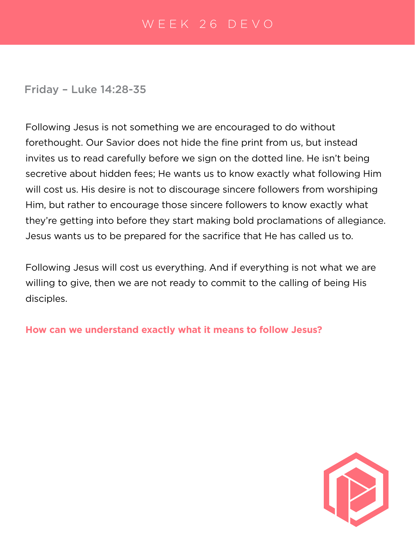Friday – Luke 14:28-35

Following Jesus is not something we are encouraged to do without forethought. Our Savior does not hide the fine print from us, but instead invites us to read carefully before we sign on the dotted line. He isn't being secretive about hidden fees; He wants us to know exactly what following Him will cost us. His desire is not to discourage sincere followers from worshiping Him, but rather to encourage those sincere followers to know exactly what they're getting into before they start making bold proclamations of allegiance. Jesus wants us to be prepared for the sacrifice that He has called us to.

Following Jesus will cost us everything. And if everything is not what we are willing to give, then we are not ready to commit to the calling of being His disciples.

**How can we understand exactly what it means to follow Jesus?**

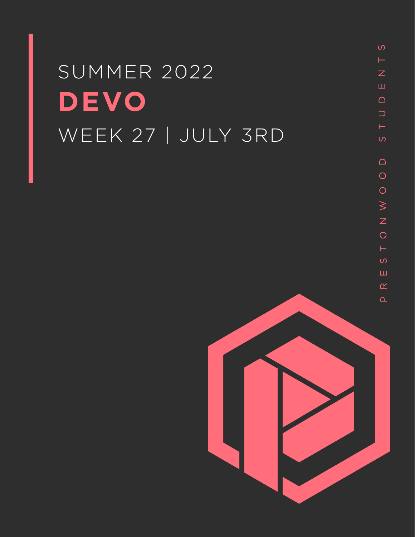# SUMMER 2022 **DEVO** WEEK 27 | JULY 3RD

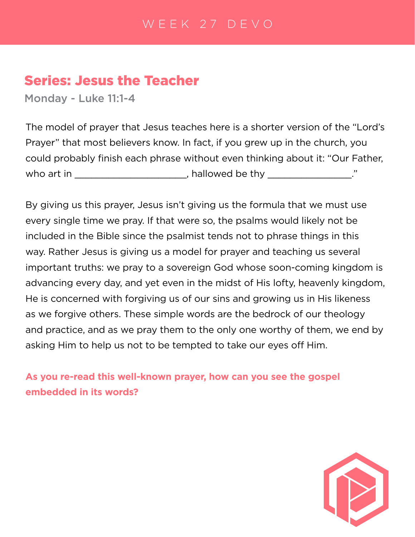# Series: Jesus the Teacher

Monday - Luke 11:1-4

The model of prayer that Jesus teaches here is a shorter version of the "Lord's Prayer" that most believers know. In fact, if you grew up in the church, you could probably finish each phrase without even thinking about it: "Our Father, who art in \_\_\_\_\_\_\_\_\_\_\_\_\_\_\_\_\_\_\_\_\_, hallowed be thy \_\_\_\_\_\_\_\_\_\_\_\_\_\_.'

By giving us this prayer, Jesus isn't giving us the formula that we must use every single time we pray. If that were so, the psalms would likely not be included in the Bible since the psalmist tends not to phrase things in this way. Rather Jesus is giving us a model for prayer and teaching us several important truths: we pray to a sovereign God whose soon-coming kingdom is advancing every day, and yet even in the midst of His lofty, heavenly kingdom, He is concerned with forgiving us of our sins and growing us in His likeness as we forgive others. These simple words are the bedrock of our theology and practice, and as we pray them to the only one worthy of them, we end by asking Him to help us not to be tempted to take our eyes off Him.

**As you re-read this well-known prayer, how can you see the gospel embedded in its words?**

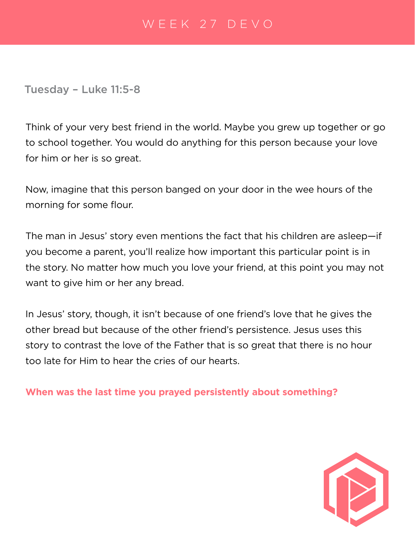#### Tuesday – Luke 11:5-8

Think of your very best friend in the world. Maybe you grew up together or go to school together. You would do anything for this person because your love for him or her is so great.

Now, imagine that this person banged on your door in the wee hours of the morning for some flour.

The man in Jesus' story even mentions the fact that his children are asleep—if you become a parent, you'll realize how important this particular point is in the story. No matter how much you love your friend, at this point you may not want to give him or her any bread.

In Jesus' story, though, it isn't because of one friend's love that he gives the other bread but because of the other friend's persistence. Jesus uses this story to contrast the love of the Father that is so great that there is no hour too late for Him to hear the cries of our hearts.

**When was the last time you prayed persistently about something?**

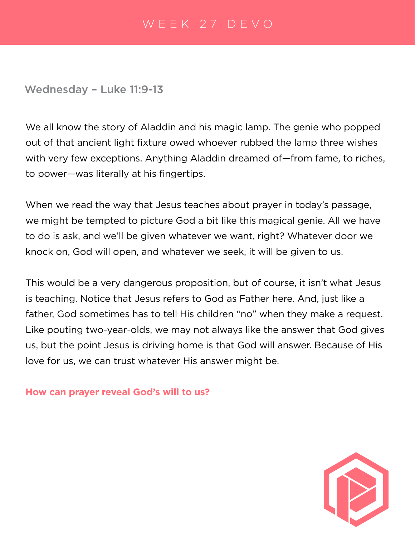Wednesday – Luke 11:9-13

We all know the story of Aladdin and his magic lamp. The genie who popped out of that ancient light fixture owed whoever rubbed the lamp three wishes with very few exceptions. Anything Aladdin dreamed of—from fame, to riches, to power—was literally at his fingertips.

When we read the way that Jesus teaches about prayer in today's passage, we might be tempted to picture God a bit like this magical genie. All we have to do is ask, and we'll be given whatever we want, right? Whatever door we knock on, God will open, and whatever we seek, it will be given to us.

This would be a very dangerous proposition, but of course, it isn't what Jesus is teaching. Notice that Jesus refers to God as Father here. And, just like a father, God sometimes has to tell His children "no" when they make a request. Like pouting two-year-olds, we may not always like the answer that God gives us, but the point Jesus is driving home is that God will answer. Because of His love for us, we can trust whatever His answer might be.

**How can prayer reveal God's will to us?**

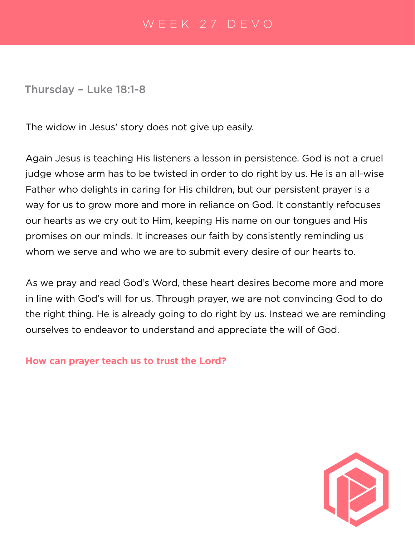Thursday – Luke 18:1-8

The widow in Jesus' story does not give up easily.

Again Jesus is teaching His listeners a lesson in persistence. God is not a cruel judge whose arm has to be twisted in order to do right by us. He is an all-wise Father who delights in caring for His children, but our persistent prayer is a way for us to grow more and more in reliance on God. It constantly refocuses our hearts as we cry out to Him, keeping His name on our tongues and His promises on our minds. It increases our faith by consistently reminding us whom we serve and who we are to submit every desire of our hearts to.

As we pray and read God's Word, these heart desires become more and more in line with God's will for us. Through prayer, we are not convincing God to do the right thing. He is already going to do right by us. Instead we are reminding ourselves to endeavor to understand and appreciate the will of God.

**How can prayer teach us to trust the Lord?**

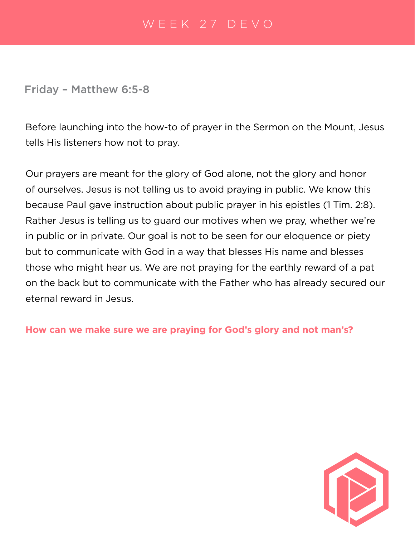#### Friday – Matthew 6:5-8

Before launching into the how-to of prayer in the Sermon on the Mount, Jesus tells His listeners how not to pray.

Our prayers are meant for the glory of God alone, not the glory and honor of ourselves. Jesus is not telling us to avoid praying in public. We know this because Paul gave instruction about public prayer in his epistles (1 Tim. 2:8). Rather Jesus is telling us to guard our motives when we pray, whether we're in public or in private. Our goal is not to be seen for our eloquence or piety but to communicate with God in a way that blesses His name and blesses those who might hear us. We are not praying for the earthly reward of a pat on the back but to communicate with the Father who has already secured our eternal reward in Jesus.

#### **How can we make sure we are praying for God's glory and not man's?**

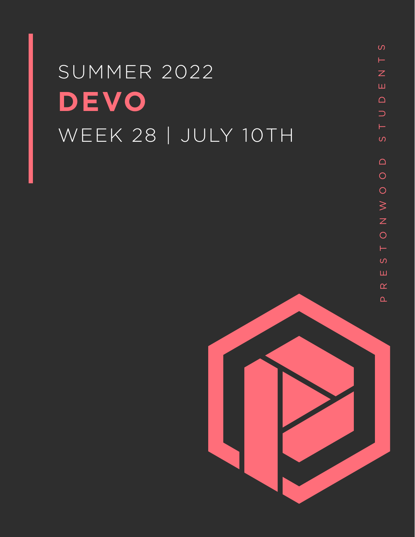# SUMMER 2022 **DEVO** WEEK 28 | JULY 10TH

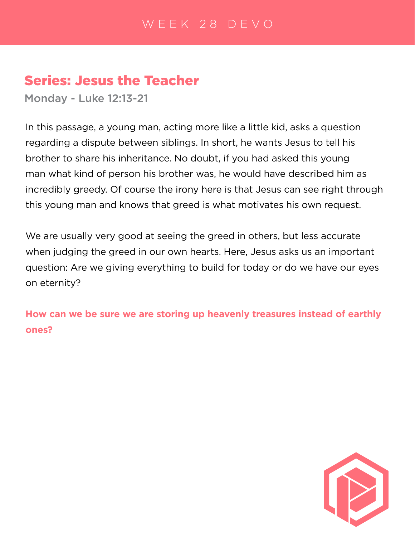# Series: Jesus the Teacher

Monday - Luke 12:13-21

In this passage, a young man, acting more like a little kid, asks a question regarding a dispute between siblings. In short, he wants Jesus to tell his brother to share his inheritance. No doubt, if you had asked this young man what kind of person his brother was, he would have described him as incredibly greedy. Of course the irony here is that Jesus can see right through this young man and knows that greed is what motivates his own request.

We are usually very good at seeing the greed in others, but less accurate when judging the greed in our own hearts. Here, Jesus asks us an important question: Are we giving everything to build for today or do we have our eyes on eternity?

**How can we be sure we are storing up heavenly treasures instead of earthly ones?**

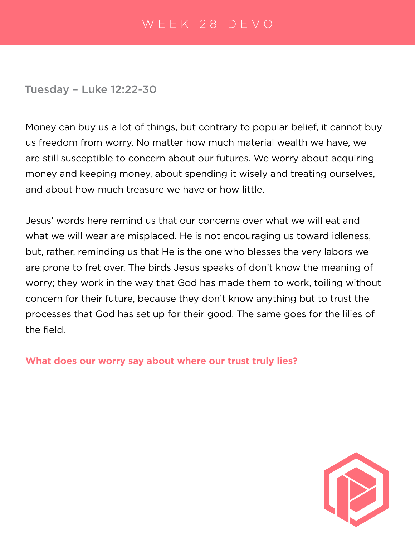#### Tuesday – Luke 12:22-30

Money can buy us a lot of things, but contrary to popular belief, it cannot buy us freedom from worry. No matter how much material wealth we have, we are still susceptible to concern about our futures. We worry about acquiring money and keeping money, about spending it wisely and treating ourselves, and about how much treasure we have or how little.

Jesus' words here remind us that our concerns over what we will eat and what we will wear are misplaced. He is not encouraging us toward idleness, but, rather, reminding us that He is the one who blesses the very labors we are prone to fret over. The birds Jesus speaks of don't know the meaning of worry; they work in the way that God has made them to work, toiling without concern for their future, because they don't know anything but to trust the processes that God has set up for their good. The same goes for the lilies of the field.

**What does our worry say about where our trust truly lies?**

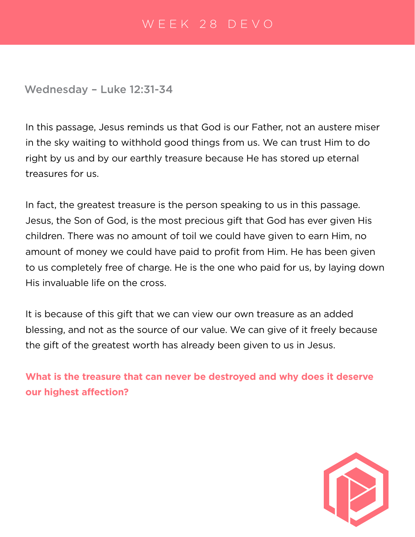Wednesday – Luke 12:31-34

In this passage, Jesus reminds us that God is our Father, not an austere miser in the sky waiting to withhold good things from us. We can trust Him to do right by us and by our earthly treasure because He has stored up eternal treasures for us.

In fact, the greatest treasure is the person speaking to us in this passage. Jesus, the Son of God, is the most precious gift that God has ever given His children. There was no amount of toil we could have given to earn Him, no amount of money we could have paid to profit from Him. He has been given to us completely free of charge. He is the one who paid for us, by laying down His invaluable life on the cross.

It is because of this gift that we can view our own treasure as an added blessing, and not as the source of our value. We can give of it freely because the gift of the greatest worth has already been given to us in Jesus.

**What is the treasure that can never be destroyed and why does it deserve our highest affection?**

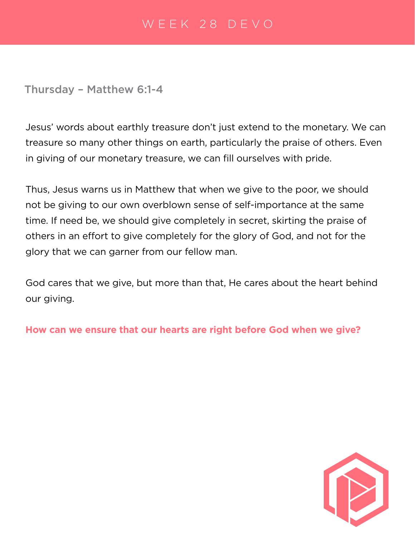Thursday – Matthew 6:1-4

Jesus' words about earthly treasure don't just extend to the monetary. We can treasure so many other things on earth, particularly the praise of others. Even in giving of our monetary treasure, we can fill ourselves with pride.

Thus, Jesus warns us in Matthew that when we give to the poor, we should not be giving to our own overblown sense of self-importance at the same time. If need be, we should give completely in secret, skirting the praise of others in an effort to give completely for the glory of God, and not for the glory that we can garner from our fellow man.

God cares that we give, but more than that, He cares about the heart behind our giving.

**How can we ensure that our hearts are right before God when we give?**

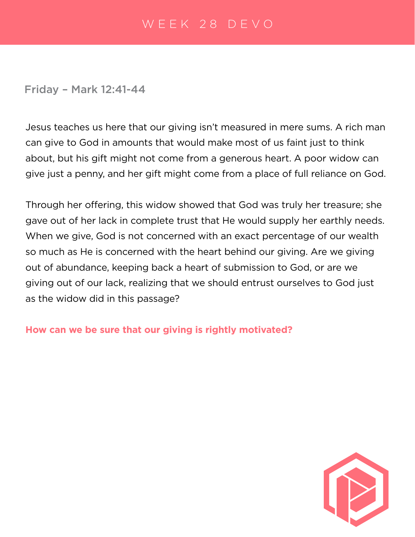Friday – Mark 12:41-44

Jesus teaches us here that our giving isn't measured in mere sums. A rich man can give to God in amounts that would make most of us faint just to think about, but his gift might not come from a generous heart. A poor widow can give just a penny, and her gift might come from a place of full reliance on God.

Through her offering, this widow showed that God was truly her treasure; she gave out of her lack in complete trust that He would supply her earthly needs. When we give, God is not concerned with an exact percentage of our wealth so much as He is concerned with the heart behind our giving. Are we giving out of abundance, keeping back a heart of submission to God, or are we giving out of our lack, realizing that we should entrust ourselves to God just as the widow did in this passage?

**How can we be sure that our giving is rightly motivated?**

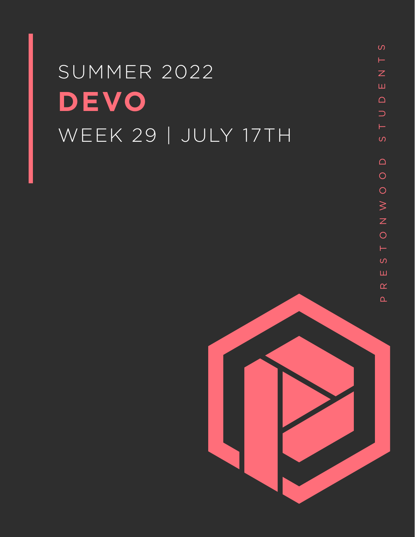# SUMMER 2022 **DEVO** WEEK 29 | JULY 17TH

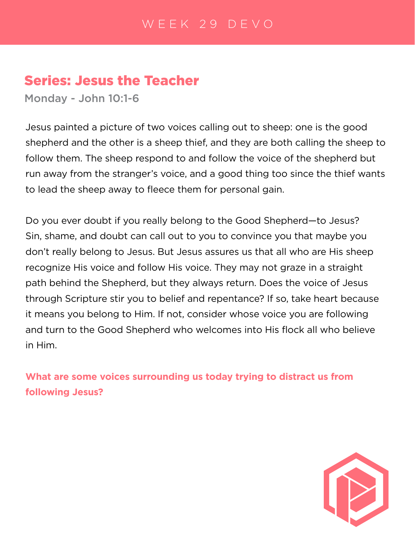# Series: Jesus the Teacher

Monday - John 10:1-6

Jesus painted a picture of two voices calling out to sheep: one is the good shepherd and the other is a sheep thief, and they are both calling the sheep to follow them. The sheep respond to and follow the voice of the shepherd but run away from the stranger's voice, and a good thing too since the thief wants to lead the sheep away to fleece them for personal gain.

Do you ever doubt if you really belong to the Good Shepherd—to Jesus? Sin, shame, and doubt can call out to you to convince you that maybe you don't really belong to Jesus. But Jesus assures us that all who are His sheep recognize His voice and follow His voice. They may not graze in a straight path behind the Shepherd, but they always return. Does the voice of Jesus through Scripture stir you to belief and repentance? If so, take heart because it means you belong to Him. If not, consider whose voice you are following and turn to the Good Shepherd who welcomes into His flock all who believe in Him.

**What are some voices surrounding us today trying to distract us from following Jesus?**

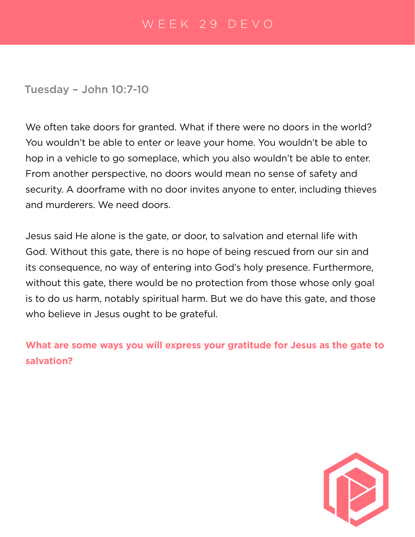#### Tuesday – John 10:7-10

We often take doors for granted. What if there were no doors in the world? You wouldn't be able to enter or leave your home. You wouldn't be able to hop in a vehicle to go someplace, which you also wouldn't be able to enter. From another perspective, no doors would mean no sense of safety and security. A doorframe with no door invites anyone to enter, including thieves and murderers. We need doors.

Jesus said He alone is the gate, or door, to salvation and eternal life with God. Without this gate, there is no hope of being rescued from our sin and its consequence, no way of entering into God's holy presence. Furthermore, without this gate, there would be no protection from those whose only goal is to do us harm, notably spiritual harm. But we do have this gate, and those who believe in Jesus ought to be grateful.

**What are some ways you will express your gratitude for Jesus as the gate to salvation?**

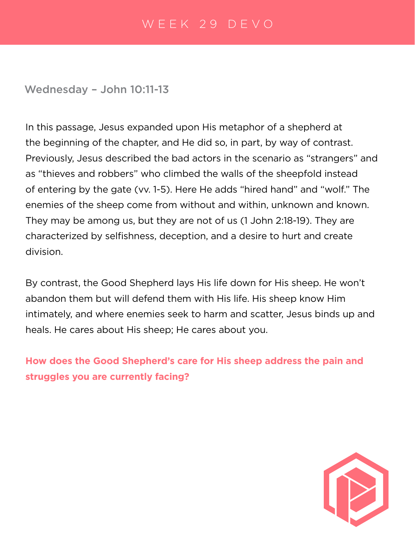#### Wednesday – John 10:11-13

In this passage, Jesus expanded upon His metaphor of a shepherd at the beginning of the chapter, and He did so, in part, by way of contrast. Previously, Jesus described the bad actors in the scenario as "strangers" and as "thieves and robbers" who climbed the walls of the sheepfold instead of entering by the gate (vv. 1-5). Here He adds "hired hand" and "wolf." The enemies of the sheep come from without and within, unknown and known. They may be among us, but they are not of us (1 John 2:18-19). They are characterized by selfishness, deception, and a desire to hurt and create division.

By contrast, the Good Shepherd lays His life down for His sheep. He won't abandon them but will defend them with His life. His sheep know Him intimately, and where enemies seek to harm and scatter, Jesus binds up and heals. He cares about His sheep; He cares about you.

**How does the Good Shepherd's care for His sheep address the pain and struggles you are currently facing?**

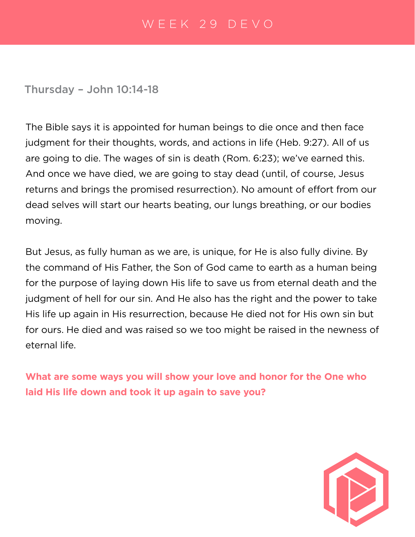#### Thursday – John 10:14-18

The Bible says it is appointed for human beings to die once and then face judgment for their thoughts, words, and actions in life (Heb. 9:27). All of us are going to die. The wages of sin is death (Rom. 6:23); we've earned this. And once we have died, we are going to stay dead (until, of course, Jesus returns and brings the promised resurrection). No amount of effort from our dead selves will start our hearts beating, our lungs breathing, or our bodies moving.

But Jesus, as fully human as we are, is unique, for He is also fully divine. By the command of His Father, the Son of God came to earth as a human being for the purpose of laying down His life to save us from eternal death and the judgment of hell for our sin. And He also has the right and the power to take His life up again in His resurrection, because He died not for His own sin but for ours. He died and was raised so we too might be raised in the newness of eternal life.

**What are some ways you will show your love and honor for the One who laid His life down and took it up again to save you?**

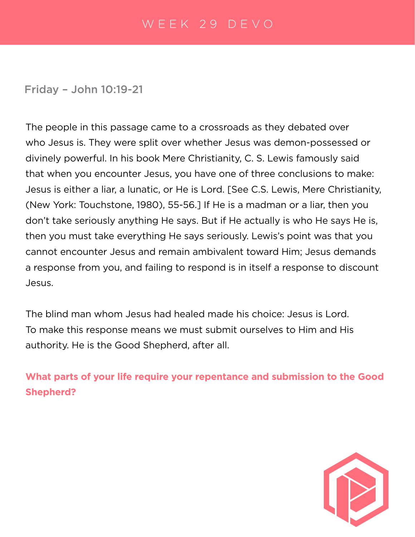# Friday – John 10:19-21

The people in this passage came to a crossroads as they debated over who Jesus is. They were split over whether Jesus was demon-possessed or divinely powerful. In his book Mere Christianity, C. S. Lewis famously said that when you encounter Jesus, you have one of three conclusions to make: Jesus is either a liar, a lunatic, or He is Lord. [See C.S. Lewis, Mere Christianity, (New York: Touchstone, 1980), 55-56.] If He is a madman or a liar, then you don't take seriously anything He says. But if He actually is who He says He is, then you must take everything He says seriously. Lewis's point was that you cannot encounter Jesus and remain ambivalent toward Him; Jesus demands a response from you, and failing to respond is in itself a response to discount Jesus.

The blind man whom Jesus had healed made his choice: Jesus is Lord. To make this response means we must submit ourselves to Him and His authority. He is the Good Shepherd, after all.

**What parts of your life require your repentance and submission to the Good Shepherd?**

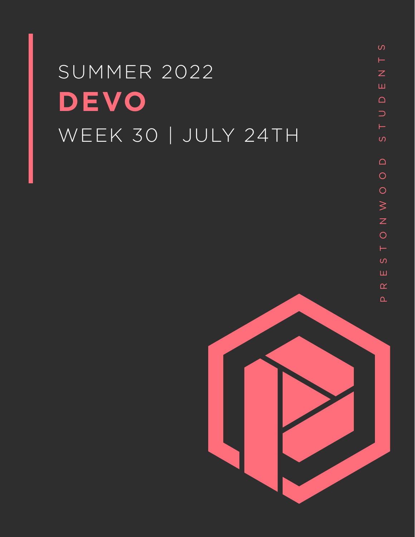# SUMMER 2022 **DEVO** WEEK 30 | JULY 24TH

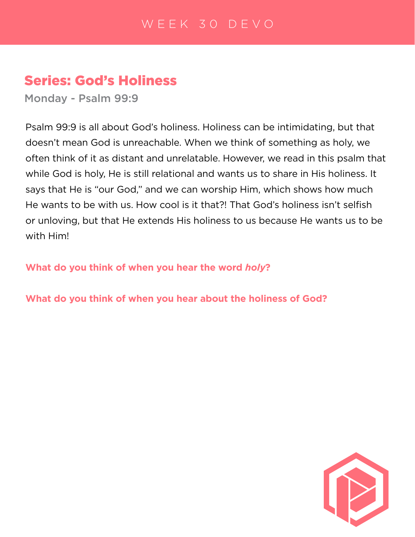# Series: God's Holiness

Monday - Psalm 99:9

Psalm 99:9 is all about God's holiness. Holiness can be intimidating, but that doesn't mean God is unreachable. When we think of something as holy, we often think of it as distant and unrelatable. However, we read in this psalm that while God is holy, He is still relational and wants us to share in His holiness. It says that He is "our God," and we can worship Him, which shows how much He wants to be with us. How cool is it that?! That God's holiness isn't selfish or unloving, but that He extends His holiness to us because He wants us to be with Him!

**What do you think of when you hear the word** *holy***?**

**What do you think of when you hear about the holiness of God?**

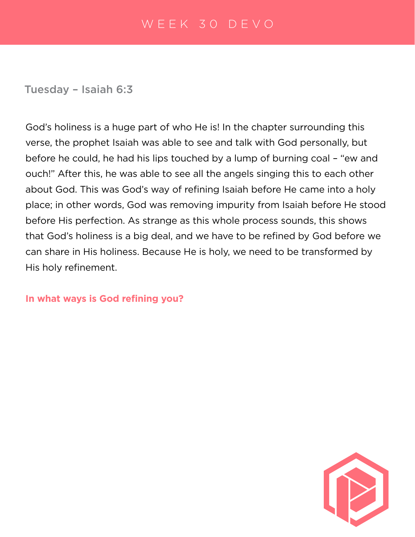Tuesday – Isaiah 6:3

God's holiness is a huge part of who He is! In the chapter surrounding this verse, the prophet Isaiah was able to see and talk with God personally, but before he could, he had his lips touched by a lump of burning coal – "ew and ouch!" After this, he was able to see all the angels singing this to each other about God. This was God's way of refining Isaiah before He came into a holy place; in other words, God was removing impurity from Isaiah before He stood before His perfection. As strange as this whole process sounds, this shows that God's holiness is a big deal, and we have to be refined by God before we can share in His holiness. Because He is holy, we need to be transformed by His holy refinement.

**In what ways is God refining you?** 

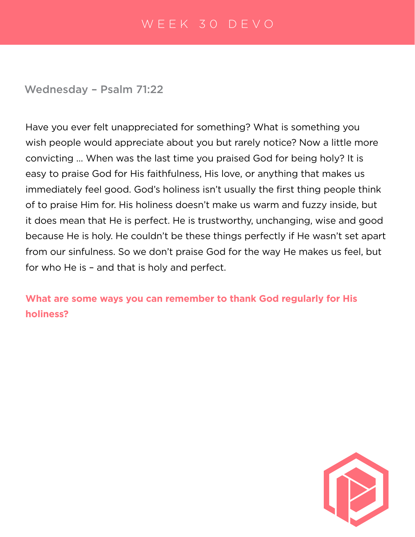Wednesday – Psalm 71:22

Have you ever felt unappreciated for something? What is something you wish people would appreciate about you but rarely notice? Now a little more convicting … When was the last time you praised God for being holy? It is easy to praise God for His faithfulness, His love, or anything that makes us immediately feel good. God's holiness isn't usually the first thing people think of to praise Him for. His holiness doesn't make us warm and fuzzy inside, but it does mean that He is perfect. He is trustworthy, unchanging, wise and good because He is holy. He couldn't be these things perfectly if He wasn't set apart from our sinfulness. So we don't praise God for the way He makes us feel, but for who He is – and that is holy and perfect.

**What are some ways you can remember to thank God regularly for His holiness?**

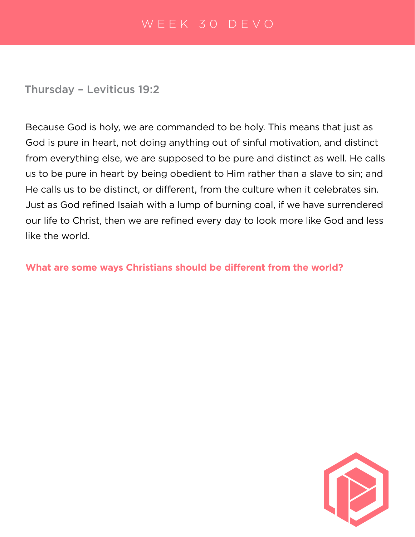Thursday – Leviticus 19:2

Because God is holy, we are commanded to be holy. This means that just as God is pure in heart, not doing anything out of sinful motivation, and distinct from everything else, we are supposed to be pure and distinct as well. He calls us to be pure in heart by being obedient to Him rather than a slave to sin; and He calls us to be distinct, or different, from the culture when it celebrates sin. Just as God refined Isaiah with a lump of burning coal, if we have surrendered our life to Christ, then we are refined every day to look more like God and less like the world.

**What are some ways Christians should be different from the world?**

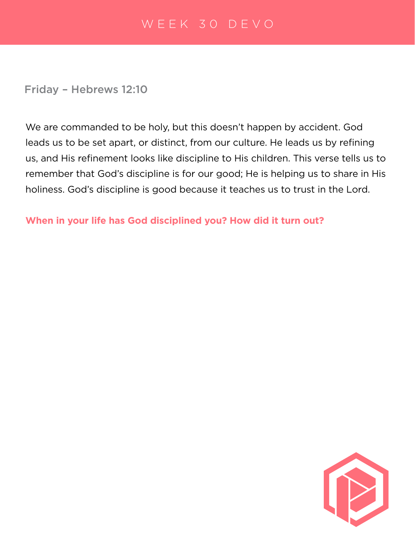Friday – Hebrews 12:10

We are commanded to be holy, but this doesn't happen by accident. God leads us to be set apart, or distinct, from our culture. He leads us by refining us, and His refinement looks like discipline to His children. This verse tells us to remember that God's discipline is for our good; He is helping us to share in His holiness. God's discipline is good because it teaches us to trust in the Lord.

**When in your life has God disciplined you? How did it turn out?** 

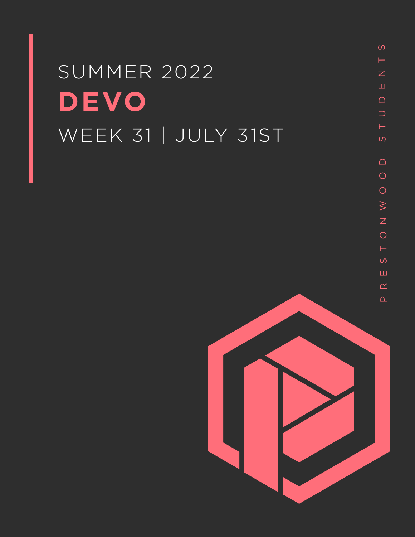# SUMMER 2022 **DEVO** WEEK 31 | JULY 31ST

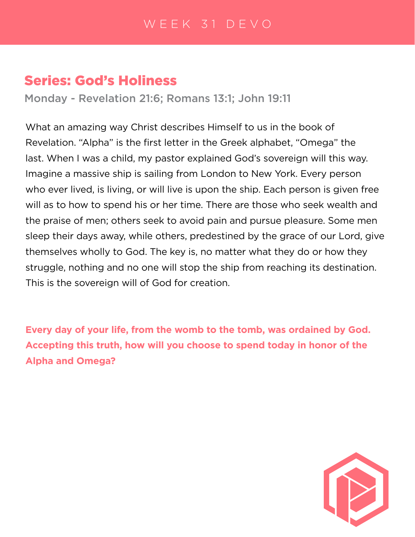# Series: God's Holiness

Monday - Revelation 21:6; Romans 13:1; John 19:11

What an amazing way Christ describes Himself to us in the book of Revelation. "Alpha" is the first letter in the Greek alphabet, "Omega" the last. When I was a child, my pastor explained God's sovereign will this way. Imagine a massive ship is sailing from London to New York. Every person who ever lived, is living, or will live is upon the ship. Each person is given free will as to how to spend his or her time. There are those who seek wealth and the praise of men; others seek to avoid pain and pursue pleasure. Some men sleep their days away, while others, predestined by the grace of our Lord, give themselves wholly to God. The key is, no matter what they do or how they struggle, nothing and no one will stop the ship from reaching its destination. This is the sovereign will of God for creation.

**Every day of your life, from the womb to the tomb, was ordained by God. Accepting this truth, how will you choose to spend today in honor of the Alpha and Omega?**

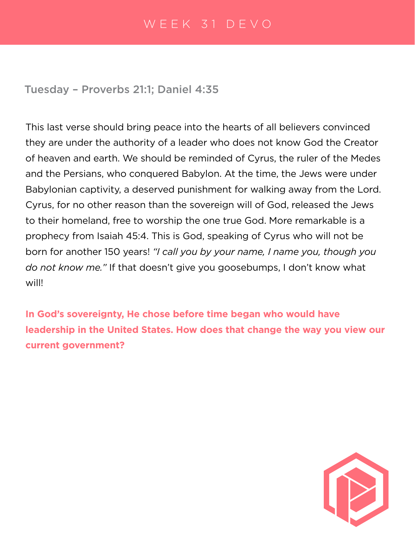Tuesday – Proverbs 21:1; Daniel 4:35

This last verse should bring peace into the hearts of all believers convinced they are under the authority of a leader who does not know God the Creator of heaven and earth. We should be reminded of Cyrus, the ruler of the Medes and the Persians, who conquered Babylon. At the time, the Jews were under Babylonian captivity, a deserved punishment for walking away from the Lord. Cyrus, for no other reason than the sovereign will of God, released the Jews to their homeland, free to worship the one true God. More remarkable is a prophecy from Isaiah 45:4. This is God, speaking of Cyrus who will not be born for another 150 years! *"I call you by your name, I name you, though you do not know me."* If that doesn't give you goosebumps, I don't know what will!

**In God's sovereignty, He chose before time began who would have leadership in the United States. How does that change the way you view our current government?** 

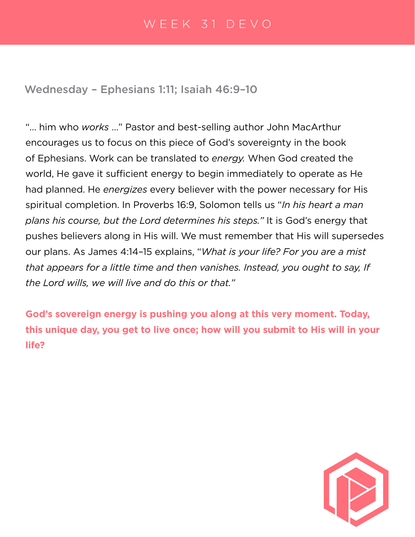Wednesday – Ephesians 1:11; Isaiah 46:9–10

"… him who *works* …" Pastor and best-selling author John MacArthur encourages us to focus on this piece of God's sovereignty in the book of Ephesians. Work can be translated to *energy.* When God created the world, He gave it sufficient energy to begin immediately to operate as He had planned. He *energizes* every believer with the power necessary for His spiritual completion. In Proverbs 16:9, Solomon tells us "*In his heart a man plans his course, but the Lord determines his steps."* It is God's energy that pushes believers along in His will. We must remember that His will supersedes our plans. As James 4:14–15 explains, "*What is your life? For you are a mist that appears for a little time and then vanishes. Instead, you ought to say, If the Lord wills, we will live and do this or that."*

**God's sovereign energy is pushing you along at this very moment. Today, this unique day, you get to live once; how will you submit to His will in your life?**

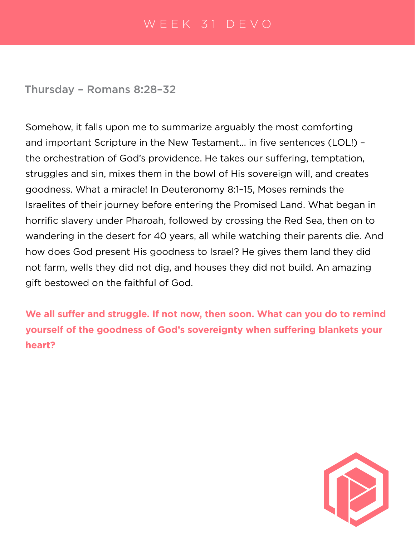Thursday – Romans 8:28–32

Somehow, it falls upon me to summarize arguably the most comforting and important Scripture in the New Testament… in five sentences (LOL!) – the orchestration of God's providence. He takes our suffering, temptation, struggles and sin, mixes them in the bowl of His sovereign will, and creates goodness. What a miracle! In Deuteronomy 8:1–15, Moses reminds the Israelites of their journey before entering the Promised Land. What began in horrific slavery under Pharoah, followed by crossing the Red Sea, then on to wandering in the desert for 40 years, all while watching their parents die. And how does God present His goodness to Israel? He gives them land they did not farm, wells they did not dig, and houses they did not build. An amazing gift bestowed on the faithful of God.

**We all suffer and struggle. If not now, then soon. What can you do to remind yourself of the goodness of God's sovereignty when suffering blankets your heart?**

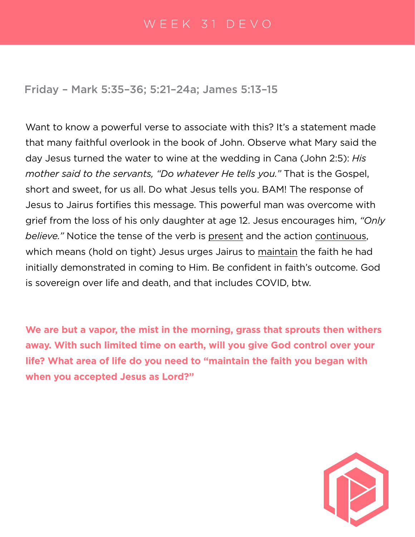Friday – Mark 5:35–36; 5:21–24a; James 5:13–15

Want to know a powerful verse to associate with this? It's a statement made that many faithful overlook in the book of John. Observe what Mary said the day Jesus turned the water to wine at the wedding in Cana (John 2:5): *His mother said to the servants, "Do whatever He tells you."* That is the Gospel, short and sweet, for us all. Do what Jesus tells you. BAM! The response of Jesus to Jairus fortifies this message. This powerful man was overcome with grief from the loss of his only daughter at age 12. Jesus encourages him, *"Only believe."* Notice the tense of the verb is present and the action continuous, which means (hold on tight) Jesus urges Jairus to maintain the faith he had initially demonstrated in coming to Him. Be confident in faith's outcome. God is sovereign over life and death, and that includes COVID, btw.

**We are but a vapor, the mist in the morning, grass that sprouts then withers away. With such limited time on earth, will you give God control over your life? What area of life do you need to "maintain the faith you began with when you accepted Jesus as Lord?"**

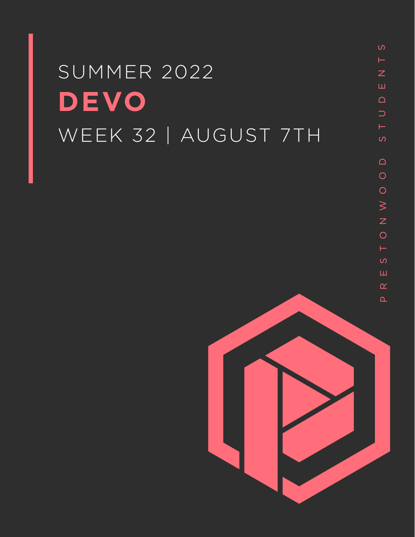# SUMMER 2022 **DEVO** WEEK 32 | AUGUST 7TH

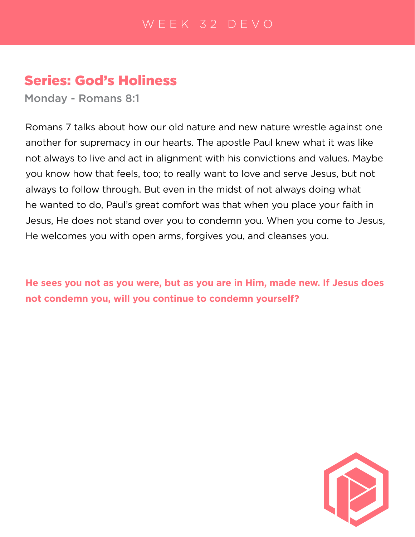# Series: God's Holiness

Monday - Romans 8:1

Romans 7 talks about how our old nature and new nature wrestle against one another for supremacy in our hearts. The apostle Paul knew what it was like not always to live and act in alignment with his convictions and values. Maybe you know how that feels, too; to really want to love and serve Jesus, but not always to follow through. But even in the midst of not always doing what he wanted to do, Paul's great comfort was that when you place your faith in Jesus, He does not stand over you to condemn you. When you come to Jesus, He welcomes you with open arms, forgives you, and cleanses you.

**He sees you not as you were, but as you are in Him, made new. If Jesus does not condemn you, will you continue to condemn yourself?**

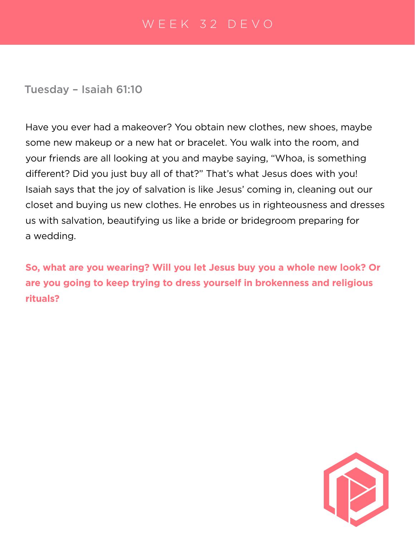Tuesday – Isaiah 61:10

Have you ever had a makeover? You obtain new clothes, new shoes, maybe some new makeup or a new hat or bracelet. You walk into the room, and your friends are all looking at you and maybe saying, "Whoa, is something different? Did you just buy all of that?" That's what Jesus does with you! Isaiah says that the joy of salvation is like Jesus' coming in, cleaning out our closet and buying us new clothes. He enrobes us in righteousness and dresses us with salvation, beautifying us like a bride or bridegroom preparing for a wedding.

**So, what are you wearing? Will you let Jesus buy you a whole new look? Or are you going to keep trying to dress yourself in brokenness and religious rituals?**

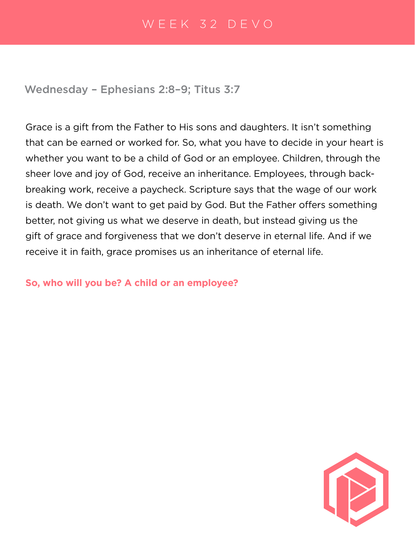Wednesday – Ephesians 2:8–9; Titus 3:7

Grace is a gift from the Father to His sons and daughters. It isn't something that can be earned or worked for. So, what you have to decide in your heart is whether you want to be a child of God or an employee. Children, through the sheer love and joy of God, receive an inheritance. Employees, through backbreaking work, receive a paycheck. Scripture says that the wage of our work is death. We don't want to get paid by God. But the Father offers something better, not giving us what we deserve in death, but instead giving us the gift of grace and forgiveness that we don't deserve in eternal life. And if we receive it in faith, grace promises us an inheritance of eternal life.

#### **So, who will you be? A child or an employee?**

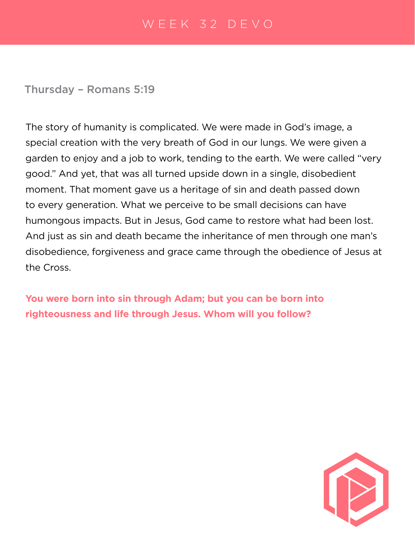Thursday – Romans 5:19

The story of humanity is complicated. We were made in God's image, a special creation with the very breath of God in our lungs. We were given a garden to enjoy and a job to work, tending to the earth. We were called "very good." And yet, that was all turned upside down in a single, disobedient moment. That moment gave us a heritage of sin and death passed down to every generation. What we perceive to be small decisions can have humongous impacts. But in Jesus, God came to restore what had been lost. And just as sin and death became the inheritance of men through one man's disobedience, forgiveness and grace came through the obedience of Jesus at the Cross.

**You were born into sin through Adam; but you can be born into righteousness and life through Jesus. Whom will you follow?**

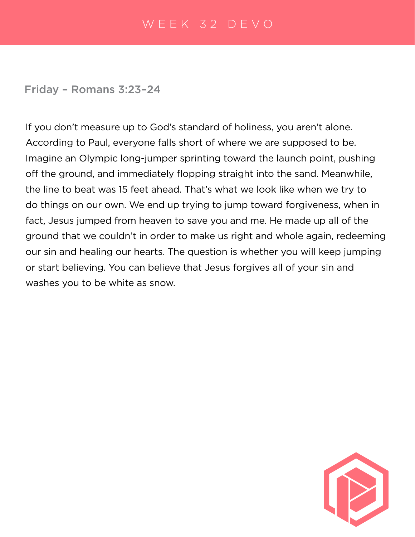Friday – Romans 3:23–24

If you don't measure up to God's standard of holiness, you aren't alone. According to Paul, everyone falls short of where we are supposed to be. Imagine an Olympic long-jumper sprinting toward the launch point, pushing off the ground, and immediately flopping straight into the sand. Meanwhile, the line to beat was 15 feet ahead. That's what we look like when we try to do things on our own. We end up trying to jump toward forgiveness, when in fact, Jesus jumped from heaven to save you and me. He made up all of the ground that we couldn't in order to make us right and whole again, redeeming our sin and healing our hearts. The question is whether you will keep jumping or start believing. You can believe that Jesus forgives all of your sin and washes you to be white as snow.

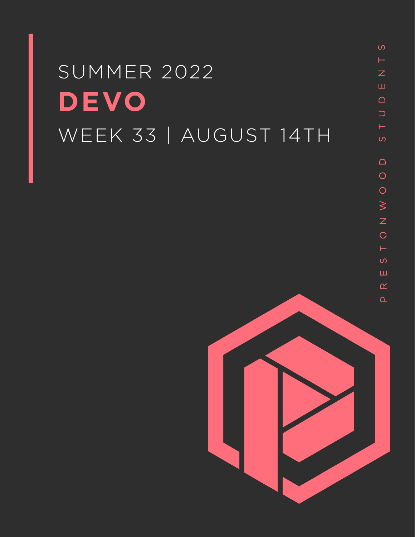# SUMMER 2022 **DEVO** WEEK 33 | AUGUST 14TH

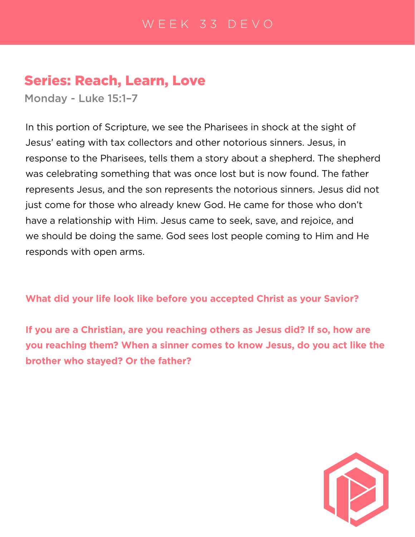# Series: Reach, Learn, Love

Monday - Luke 15:1–7

In this portion of Scripture, we see the Pharisees in shock at the sight of Jesus' eating with tax collectors and other notorious sinners. Jesus, in response to the Pharisees, tells them a story about a shepherd. The shepherd was celebrating something that was once lost but is now found. The father represents Jesus, and the son represents the notorious sinners. Jesus did not just come for those who already knew God. He came for those who don't have a relationship with Him. Jesus came to seek, save, and rejoice, and we should be doing the same. God sees lost people coming to Him and He responds with open arms.

**What did your life look like before you accepted Christ as your Savior?**

**If you are a Christian, are you reaching others as Jesus did? If so, how are you reaching them? When a sinner comes to know Jesus, do you act like the brother who stayed? Or the father?**

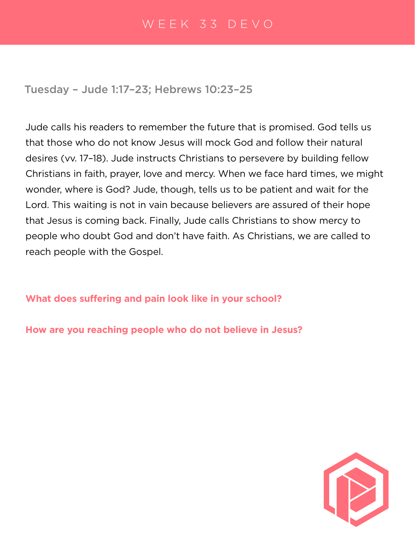Tuesday – Jude 1:17–23; Hebrews 10:23–25

Jude calls his readers to remember the future that is promised. God tells us that those who do not know Jesus will mock God and follow their natural desires (vv. 17–18). Jude instructs Christians to persevere by building fellow Christians in faith, prayer, love and mercy. When we face hard times, we might wonder, where is God? Jude, though, tells us to be patient and wait for the Lord. This waiting is not in vain because believers are assured of their hope that Jesus is coming back. Finally, Jude calls Christians to show mercy to people who doubt God and don't have faith. As Christians, we are called to reach people with the Gospel.

**What does suffering and pain look like in your school?**

**How are you reaching people who do not believe in Jesus?**

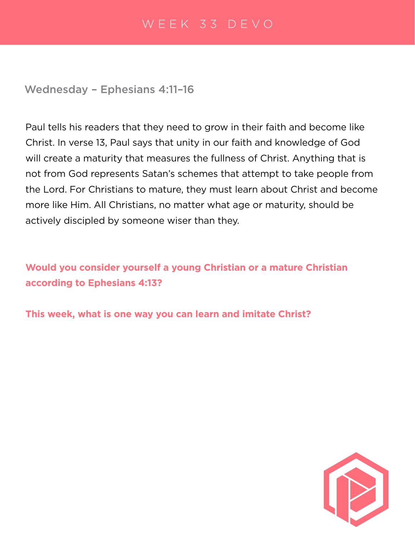Wednesday – Ephesians 4:11–16

Paul tells his readers that they need to grow in their faith and become like Christ. In verse 13, Paul says that unity in our faith and knowledge of God will create a maturity that measures the fullness of Christ. Anything that is not from God represents Satan's schemes that attempt to take people from the Lord. For Christians to mature, they must learn about Christ and become more like Him. All Christians, no matter what age or maturity, should be actively discipled by someone wiser than they.

**Would you consider yourself a young Christian or a mature Christian according to Ephesians 4:13?**

**This week, what is one way you can learn and imitate Christ?**

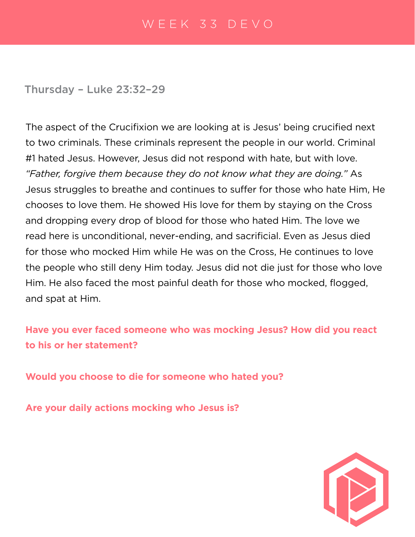Thursday – Luke 23:32–29

The aspect of the Crucifixion we are looking at is Jesus' being crucified next to two criminals. These criminals represent the people in our world. Criminal #1 hated Jesus. However, Jesus did not respond with hate, but with love. *"Father, forgive them because they do not know what they are doing."* As Jesus struggles to breathe and continues to suffer for those who hate Him, He chooses to love them. He showed His love for them by staying on the Cross and dropping every drop of blood for those who hated Him. The love we read here is unconditional, never-ending, and sacrificial. Even as Jesus died for those who mocked Him while He was on the Cross, He continues to love the people who still deny Him today. Jesus did not die just for those who love Him. He also faced the most painful death for those who mocked, flogged, and spat at Him.

**Have you ever faced someone who was mocking Jesus? How did you react to his or her statement?**

**Would you choose to die for someone who hated you?**

**Are your daily actions mocking who Jesus is?**